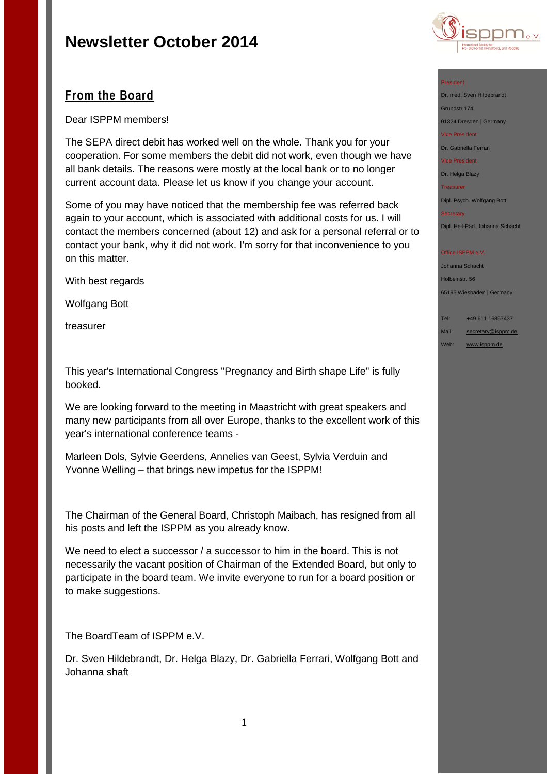

## **From the Board**

Dear ISPPM members!

The SEPA direct debit has worked well on the whole. Thank you for your cooperation. For some members the debit did not work, even though we have all bank details. The reasons were mostly at the local bank or to no longer current account data. Please let us know if you change your account.

Some of you may have noticed that the membership fee was referred back again to your account, which is associated with additional costs for us. I will contact the members concerned (about 12) and ask for a personal referral or to contact your bank, why it did not work. I'm sorry for that inconvenience to you on this matter.

With best regards

Wolfgang Bott

treasurer

This year's International Congress "Pregnancy and Birth shape Life" is fully booked.

We are looking forward to the meeting in Maastricht with great speakers and many new participants from all over Europe, thanks to the excellent work of this year's international conference teams -

Marleen Dols, Sylvie Geerdens, Annelies van Geest, Sylvia Verduin and Yvonne Welling – that brings new impetus for the ISPPM!

The Chairman of the General Board, Christoph Maibach, has resigned from all his posts and left the ISPPM as you already know.

We need to elect a successor / a successor to him in the board. This is not necessarily the vacant position of Chairman of the Extended Board, but only to participate in the board team. We invite everyone to run for a board position or to make suggestions.

The BoardTeam of ISPPM e.V.

Dr. Sven Hildebrandt, Dr. Helga Blazy, Dr. Gabriella Ferrari, Wolfgang Bott and Johanna shaft

#### President

Dr. med. Sven Hildebrandt Grundstr.174 01324 Dresden | Germany

Vice President

Dr. Gabriella Ferrari

Vice President

Dr. Helga Blazy Treasurer

Dipl. Psych. Wolfgang Bott

**Secretary** 

Dipl. Heil-Päd. Johanna Schacht

#### Office ISPPM e.V.

Johanna Schacht Holbeinstr. 56 65195 Wiesbaden | Germany

Tel: +49 611 16857437

Mail: [secretary@isppm.de](mailto:secretary@isppm.de)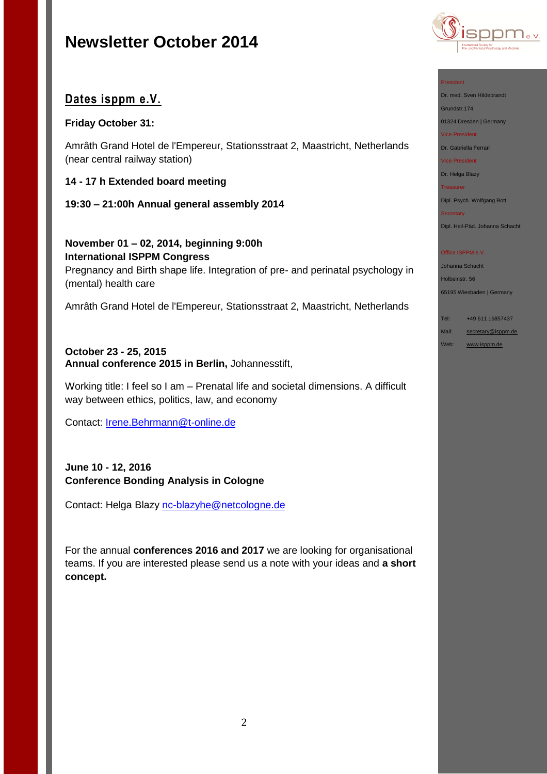

## **Dates isppm e.V.**

## **Friday October 31:**

Amrâth Grand Hotel de l'Empereur, Stationsstraat 2, Maastricht, Netherlands (near central railway station)

## **14 - 17 h Extended board meeting**

## **19:30 – 21:00h Annual general assembly 2014**

**November 01 – 02, 2014, beginning 9:00h International ISPPM Congress** Pregnancy and Birth shape life. Integration of pre- and perinatal psychology in (mental) health care

Amrâth Grand Hotel de l'Empereur, Stationsstraat 2, Maastricht, Netherlands

### **October 23 - 25, 2015 Annual conference 2015 in Berlin,** Johannesstift,

Working title: I feel so I am – Prenatal life and societal dimensions. A difficult way between ethics, politics, law, and economy

Contact: [Irene.Behrmann@t-online.de](file:///C:/Users/hanna/Desktop/Irene.Behrmann@t-online.de)

## **June 10 - 12, 2016 Conference Bonding Analysis in Cologne**

Contact: Helga Blazy [nc-blazyhe@netcologne.de](file:///C:/Users/hanna/Desktop/nc-blazyhe@netcologne.de)

For the annual **conferences 2016 and 2017** we are looking for organisational teams. If you are interested please send us a note with your ideas and **a short concept.**

### President

Dr. med. Sven Hildebrandt Grundstr.174

01324 Dresden | Germany

Vice President

Dr. Gabriella Ferrari

Vice President

Dr. Helga Blazy

Treasurer

Dipl. Psych. Wolfgang Bott

Secretary

Dipl. Heil-Päd. Johanna Schacht

### Office ISPPM e.V.

Johanna Schacht

Holbeinstr. 56

65195 Wiesbaden | Germany

Tel: +49 611 16857437

Mail: [secretary@isppm.de](mailto:secretary@isppm.de)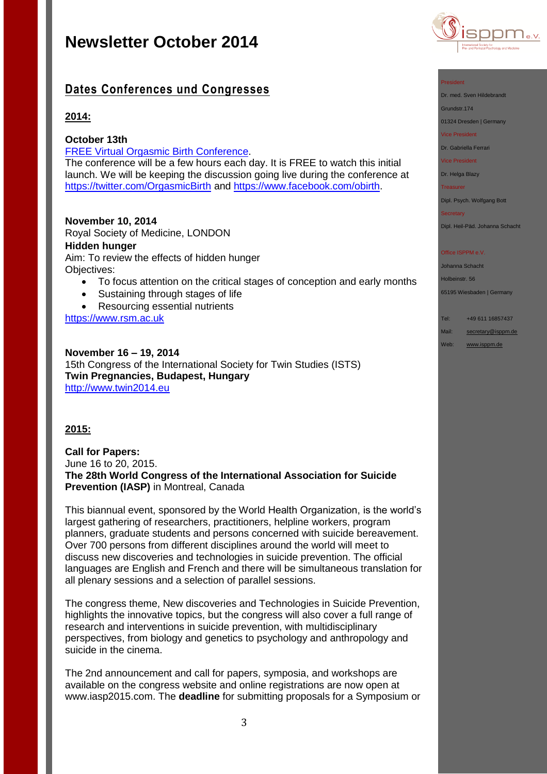

## **Dates Conferences und Congresses**

## **2014:**

### **October 13th**

[FREE Virtual Orgasmic Birth Conference.](http://pai.ontraport.com/c/s/UAJ/jxl/z/s/8d/62Le7z/QbICHFVOS)

The conference will be a few hours each day. It is FREE to watch this initial launch. We will be keeping the discussion going live during the conference at [https://twitter.com/OrgasmicBirth](http://pai.ontraport.com/c/s/UAJ/jxl/U/y/8d/62Le7z/spYC85dIMb) and [https://www.facebook.com/obirth.](http://pai.ontraport.com/c/s/UAJ/jxl/j/j/8d/62Le7z/Ut2jUL58gZ)

### **November 10, 2014**

Royal Society of Medicine, LONDON **Hidden hunger** Aim: To review the effects of hidden hunger Objectives:

- To focus attention on the critical stages of conception and early months
- Sustaining through stages of life
- Resourcing essential nutrients

[https://www.rsm.ac.uk](https://www.rsm.ac.uk/events/fhf01)

**November 16 – 19, 2014** 15th Congress of the International Society for Twin Studies (ISTS) **Twin Pregnancies, Budapest, Hungary** [http://www.twin2014.eu](http://www.twin2014.eu/)

## **2015:**

**Call for Papers:** June 16 to 20, 2015. **The 28th World Congress of the International Association for Suicide Prevention (IASP)** in Montreal, Canada

This biannual event, sponsored by the World Health Organization, is the world's largest gathering of researchers, practitioners, helpline workers, program planners, graduate students and persons concerned with suicide bereavement. Over 700 persons from different disciplines around the world will meet to discuss new discoveries and technologies in suicide prevention. The official languages are English and French and there will be simultaneous translation for all plenary sessions and a selection of parallel sessions.

The congress theme, New discoveries and Technologies in Suicide Prevention, highlights the innovative topics, but the congress will also cover a full range of research and interventions in suicide prevention, with multidisciplinary perspectives, from biology and genetics to psychology and anthropology and suicide in the cinema.

The 2nd announcement and call for papers, symposia, and workshops are available on the congress website and online registrations are now open at www.iasp2015.com. The **deadline** for submitting proposals for a Symposium or



#### President

Dr. med. Sven Hildebrandt

Grundstr.174

01324 Dresden | Germany

Vice President

Dr. Gabriella Ferrari

Vice President

Dr. Helga Blazy

Treasurer

Dipl. Psych. Wolfgang Bott

**Secretary** 

Dipl. Heil-Päd. Johanna Schacht

#### Office ISPPM e.V.

Johanna Schacht

Holbeinstr. 56

65195 Wiesbaden | Germany

| Tel: | +49 611 16857437 |
|------|------------------|
|      |                  |

Mail: [secretary@isppm.de](mailto:secretary@isppm.de)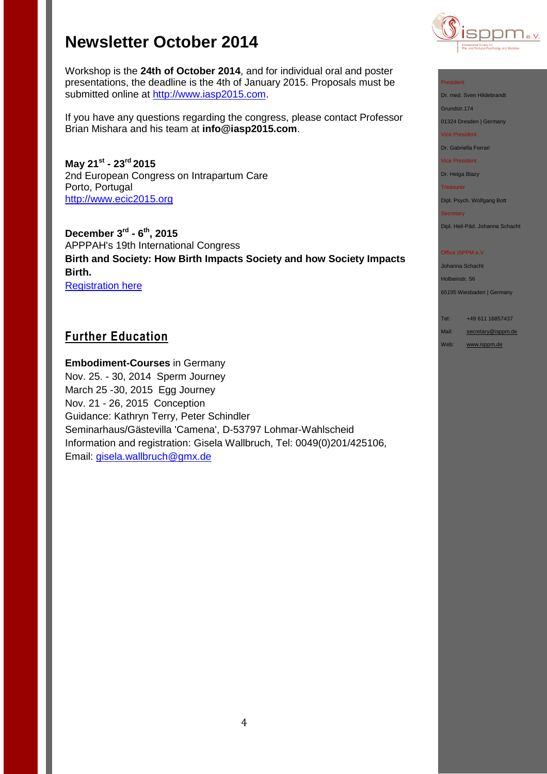

Workshop is the **24th of October 2014**, and for individual oral and poster presentations, the deadline is the 4th of January 2015. Proposals must be submitted online at [http://www.iasp2015.com.](http://www.iasp2015.com/)

If you have any questions regarding the congress, please contact Professor Brian Mishara and his team at **info@iasp2015.com**.

**May 21st - 23rd 2015** 2nd European Congress on Intrapartum Care Porto, Portugal [http://www.ecic2015.org](http://www.ecic2015.org/)

**December 3rd - 6 th, 2015** APPPAH's 19th International Congress **Birth and Society: How Birth Impacts Society and how Society Impacts Birth.** [Registration here](http://r20.rs6.net/tn.jsp?f=001ow1wkvozei_88VPX53sV2VFa_ZuxEIVEKa01uLsN1mbdQzyyQdhs_FXedW1fhcbR0cAnBWKAa58XC3PwfiugTa1u-MPUS6Vonsz2fJNfQoB35pjIsF_7lD1CN_qw8TKu7v5JAd5plpwt_sJH1Yde9EazKKjwqyMJ21kbRBK73s3eVNH4L1EyhKr9FAjjkUSl1fgyAKzNeZsbRxoBWUe7j8en6Y0oQ_VI&c=LWshyrIfwgT0SZxQf9pomHGUyyn_Wvxtp2RWpyiRrhc-6I_2N51Iww==&ch=fzqAY8gzqrfAbvVlvh6O_uf6Y0uhLqpZVtR_fAmpQsLRiSXUV-TJkQ==)

## **Further Education**

**Embodiment-Courses** in Germany Nov. 25. - 30, 2014 Sperm Journey March 25 -30, 2015 Egg Journey Nov. 21 - 26, 2015 Conception Guidance: Kathryn Terry, Peter Schindler Seminarhaus/Gästevilla 'Camena', D-53797 Lohmar-Wahlscheid Information and registration: Gisela Wallbruch, Tel: 0049(0)201/425106, Email: [gisela.wallbruch@gmx.de](file:///C:/Users/hanna/Desktop/gisela.wallbruch@gmx.de)

#### President

Dr. med. Sven Hildebrandt

Grundstr.174

01324 Dresden | Germany

Vice President

Dr. Gabriella Ferrari

Vice President

Dr. Helga Blazy

Treasurer

Dipl. Psych. Wolfgang Bott

Secretary

Dipl. Heil-Päd. Johanna Schacht

#### Office ISPPM e.V.

Johanna Schacht

Holbeinstr. 56

65195 Wiesbaden | Germany

Tel: +49 611 16857437

Mail: [secretary@isppm.de](mailto:secretary@isppm.de)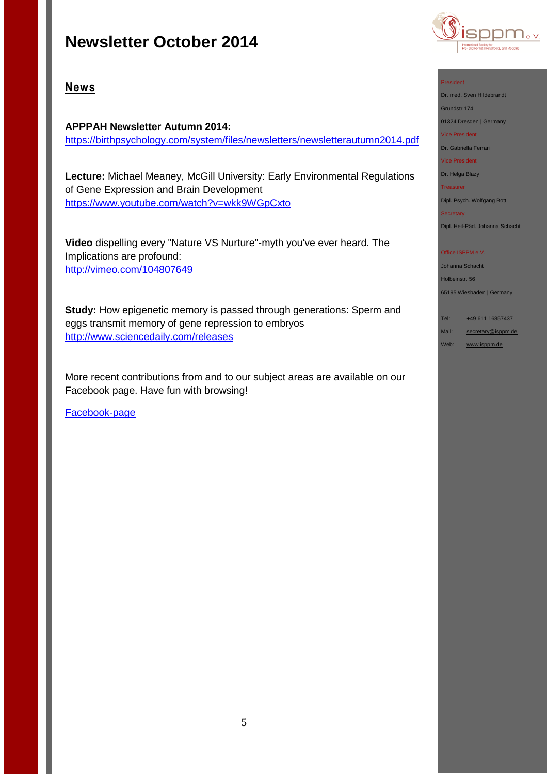

## **News**

**APPPAH Newsletter Autumn 2014:**  <https://birthpsychology.com/system/files/newsletters/newsletterautumn2014.pdf>

**Lecture:** Michael Meaney, McGill University: Early Environmental Regulations of Gene Expression and Brain Development <https://www.youtube.com/watch?v=wkk9WGpCxto>

**Video** dispelling every "Nature VS Nurture"-myth you've ever heard. The Implications are profound: <http://vimeo.com/104807649>

**Study:** How epigenetic memory is passed through generations: Sperm and eggs transmit memory of gene repression to embryos [http://www.sciencedaily.com/releases](http://www.sciencedaily.com/releases/2014/09/140918141448.htm?utm_source=feedburner&utm_medium=feed&utm_campaign=Feed%3A+sciencedaily%2Ftop_news%2Ftop_science+%28ScienceDaily%3A+Top+Science+News%29&utm_content=FaceBook)

More recent contributions from and to our subject areas are available on our Facebook page. Have fun with browsing!

[Facebook-page](http://de-de.facebook.com/pages/ISPPM-eV/124066644364106) 

#### President

Dr. med. Sven Hildebrandt

Grundstr.174

01324 Dresden | Germany Vice President

Dr. Gabriella Ferrari

Vice President

Dr. Helga Blazy

Treasurer

Dipl. Psych. Wolfgang Bott

Secretary

Dipl. Heil-Päd. Johanna Schacht

#### Office ISPPM e.V.

Johanna Schacht

Holbeinstr. 56

65195 Wiesbaden | Germany

Tel: +49 611 16857437 Mail: [secretary@isppm.de](mailto:secretary@isppm.de)